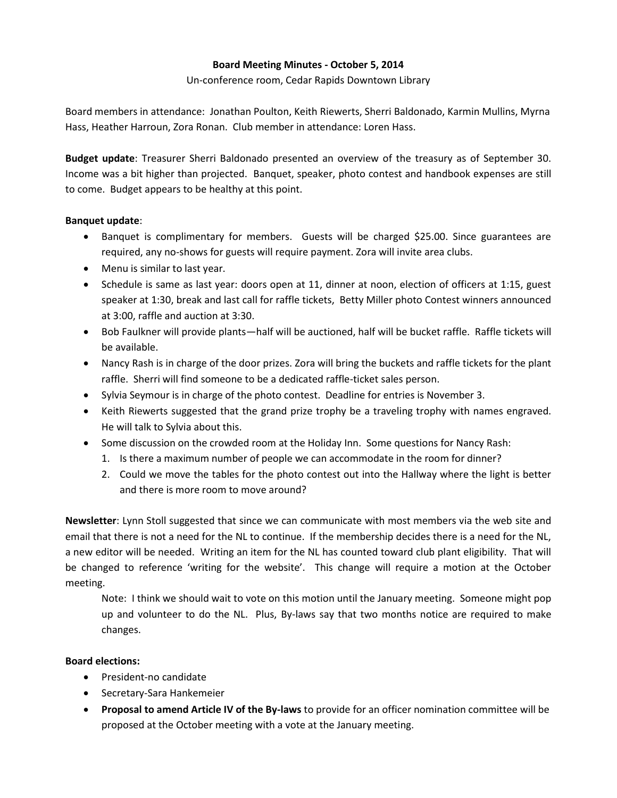## **Board Meeting Minutes - October 5, 2014**

Un-conference room, Cedar Rapids Downtown Library

Board members in attendance: Jonathan Poulton, Keith Riewerts, Sherri Baldonado, Karmin Mullins, Myrna Hass, Heather Harroun, Zora Ronan. Club member in attendance: Loren Hass.

**Budget update**: Treasurer Sherri Baldonado presented an overview of the treasury as of September 30. Income was a bit higher than projected. Banquet, speaker, photo contest and handbook expenses are still to come. Budget appears to be healthy at this point.

## **Banquet update**:

- Banquet is complimentary for members. Guests will be charged \$25.00. Since guarantees are required, any no-shows for guests will require payment. Zora will invite area clubs.
- Menu is similar to last year.
- Schedule is same as last year: doors open at 11, dinner at noon, election of officers at 1:15, guest speaker at 1:30, break and last call for raffle tickets, Betty Miller photo Contest winners announced at 3:00, raffle and auction at 3:30.
- Bob Faulkner will provide plants—half will be auctioned, half will be bucket raffle. Raffle tickets will be available.
- Nancy Rash is in charge of the door prizes. Zora will bring the buckets and raffle tickets for the plant raffle. Sherri will find someone to be a dedicated raffle-ticket sales person.
- Sylvia Seymour is in charge of the photo contest. Deadline for entries is November 3.
- Keith Riewerts suggested that the grand prize trophy be a traveling trophy with names engraved. He will talk to Sylvia about this.
- Some discussion on the crowded room at the Holiday Inn. Some questions for Nancy Rash:
	- 1. Is there a maximum number of people we can accommodate in the room for dinner?
	- 2. Could we move the tables for the photo contest out into the Hallway where the light is better and there is more room to move around?

**Newsletter**: Lynn Stoll suggested that since we can communicate with most members via the web site and email that there is not a need for the NL to continue. If the membership decides there is a need for the NL, a new editor will be needed. Writing an item for the NL has counted toward club plant eligibility. That will be changed to reference 'writing for the website'. This change will require a motion at the October meeting.

Note: I think we should wait to vote on this motion until the January meeting. Someone might pop up and volunteer to do the NL. Plus, By-laws say that two months notice are required to make changes.

## **Board elections:**

- President-no candidate
- Secretary-Sara Hankemeier
- **Proposal to amend Article IV of the By-laws** to provide for an officer nomination committee will be proposed at the October meeting with a vote at the January meeting.